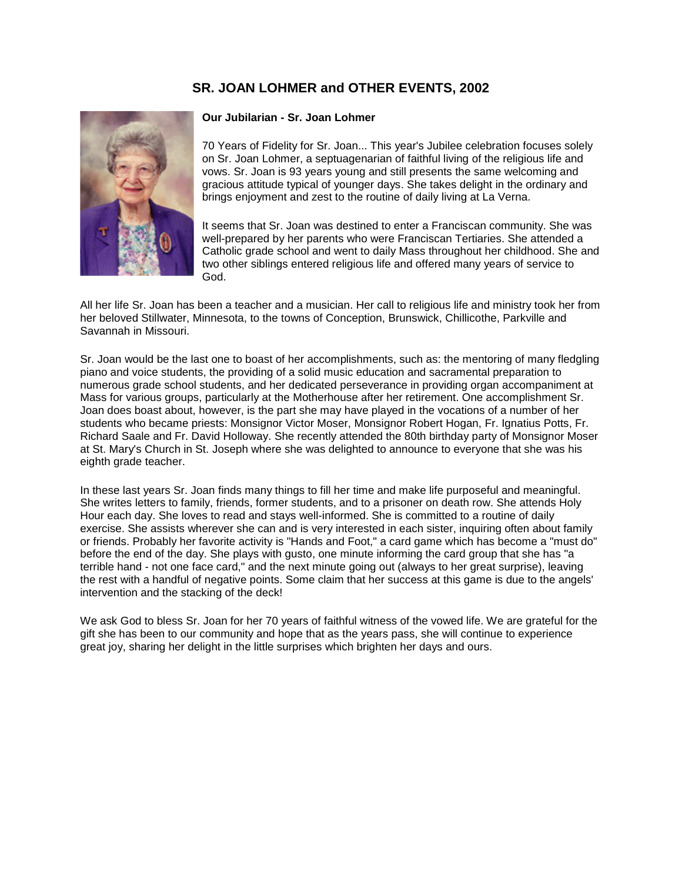# **SR. JOAN LOHMER and OTHER EVENTS, 2002**



### **Our Jubilarian - Sr. Joan Lohmer**

70 Years of Fidelity for Sr. Joan... This year's Jubilee celebration focuses solely on Sr. Joan Lohmer, a septuagenarian of faithful living of the religious life and vows. Sr. Joan is 93 years young and still presents the same welcoming and gracious attitude typical of younger days. She takes delight in the ordinary and brings enjoyment and zest to the routine of daily living at La Verna.

It seems that Sr. Joan was destined to enter a Franciscan community. She was well-prepared by her parents who were Franciscan Tertiaries. She attended a Catholic grade school and went to daily Mass throughout her childhood. She and two other siblings entered religious life and offered many years of service to God.

All her life Sr. Joan has been a teacher and a musician. Her call to religious life and ministry took her from her beloved Stillwater, Minnesota, to the towns of Conception, Brunswick, Chillicothe, Parkville and Savannah in Missouri.

Sr. Joan would be the last one to boast of her accomplishments, such as: the mentoring of many fledgling piano and voice students, the providing of a solid music education and sacramental preparation to numerous grade school students, and her dedicated perseverance in providing organ accompaniment at Mass for various groups, particularly at the Motherhouse after her retirement. One accomplishment Sr. Joan does boast about, however, is the part she may have played in the vocations of a number of her students who became priests: Monsignor Victor Moser, Monsignor Robert Hogan, Fr. Ignatius Potts, Fr. Richard Saale and Fr. David Holloway. She recently attended the 80th birthday party of Monsignor Moser at St. Mary's Church in St. Joseph where she was delighted to announce to everyone that she was his eighth grade teacher.

In these last years Sr. Joan finds many things to fill her time and make life purposeful and meaningful. She writes letters to family, friends, former students, and to a prisoner on death row. She attends Holy Hour each day. She loves to read and stays well-informed. She is committed to a routine of daily exercise. She assists wherever she can and is very interested in each sister, inquiring often about family or friends. Probably her favorite activity is "Hands and Foot," a card game which has become a "must do" before the end of the day. She plays with gusto, one minute informing the card group that she has "a terrible hand - not one face card," and the next minute going out (always to her great surprise), leaving the rest with a handful of negative points. Some claim that her success at this game is due to the angels' intervention and the stacking of the deck!

We ask God to bless Sr. Joan for her 70 years of faithful witness of the vowed life. We are grateful for the gift she has been to our community and hope that as the years pass, she will continue to experience great joy, sharing her delight in the little surprises which brighten her days and ours.